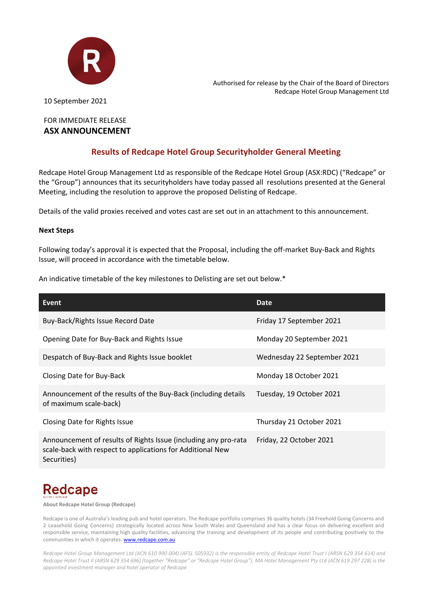

Authorised for release by the Chair of the Board of Directors Redcape Hotel Group Management Ltd

10 September 2021

## FOR IMMEDIATE RELEASE **ASX ANNOUNCEMENT**

## **Results of Redcape Hotel Group Securityholder General Meeting**

Redcape Hotel Group Management Ltd as responsible of the Redcape Hotel Group (ASX:RDC) ("Redcape" or the "Group") announces that its securityholders have today passed all resolutions presented at the General Meeting, including the resolution to approve the proposed Delisting of Redcape.

Details of the valid proxies received and votes cast are set out in an attachment to this announcement.

### **Next Steps**

Following today's approval it is expected that the Proposal, including the off-market Buy-Back and Rights Issue, will proceed in accordance with the timetable below.

An indicative timetable of the key milestones to Delisting are set out below.\*

| Event                                                                                                                                        | <b>Date</b>                 |
|----------------------------------------------------------------------------------------------------------------------------------------------|-----------------------------|
| Buy-Back/Rights Issue Record Date                                                                                                            | Friday 17 September 2021    |
| Opening Date for Buy-Back and Rights Issue                                                                                                   | Monday 20 September 2021    |
| Despatch of Buy-Back and Rights Issue booklet                                                                                                | Wednesday 22 September 2021 |
| Closing Date for Buy-Back                                                                                                                    | Monday 18 October 2021      |
| Announcement of the results of the Buy-Back (including details<br>of maximum scale-back)                                                     | Tuesday, 19 October 2021    |
| Closing Date for Rights Issue                                                                                                                | Thursday 21 October 2021    |
| Announcement of results of Rights Issue (including any pro-rata<br>scale-back with respect to applications for Additional New<br>Securities) | Friday, 22 October 2021     |

# **Redcape**

**About Redcape Hotel Group (Redcape)**

Redcape is one of Australia's leading pub and hotel operators. The Redcape portfolio comprises 36 quality hotels (34 Freehold Going Concerns and 2 Leasehold Going Concerns) strategically located across New South Wales and Queensland and has a clear focus on delivering excellent and responsible service, maintaining high quality facilities, advancing the training and development of its people and contributing positively to the communities in which it operates[. www.redcape.com.au](http://www.redcape.com.au/)

*Redcape Hotel Group Management Ltd (ACN 610 990 004) (AFSL 505932) is the responsible entity of Redcape Hotel Trust I (ARSN 629 354 614) and Redcape Hotel Trust II (ARSN 629 354 696) (together "Redcape" or "Redcape Hotel Group"). MA Hotel Management Pty Ltd (ACN 619 297 228) is the appointed investment manager and hotel operator of Redcape.*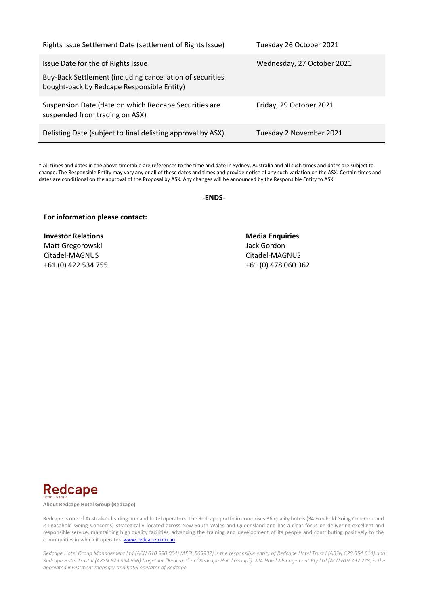| Rights Issue Settlement Date (settlement of Rights Issue)                                                                                     | Tuesday 26 October 2021    |
|-----------------------------------------------------------------------------------------------------------------------------------------------|----------------------------|
| Issue Date for the of Rights Issue<br>Buy-Back Settlement (including cancellation of securities<br>bought-back by Redcape Responsible Entity) | Wednesday, 27 October 2021 |
| Suspension Date (date on which Redcape Securities are<br>suspended from trading on ASX)                                                       | Friday, 29 October 2021    |
| Delisting Date (subject to final delisting approval by ASX)                                                                                   | Tuesday 2 November 2021    |

\* All times and dates in the above timetable are references to the time and date in Sydney, Australia and all such times and dates are subject to change. The Responsible Entity may vary any or all of these dates and times and provide notice of any such variation on the ASX. Certain times and dates are conditional on the approval of the Proposal by ASX. Any changes will be announced by the Responsible Entity to ASX.

**-ENDS-**

### **For information please contact:**

**Investor Relations Media Enquiries** Matt Gregorowski **Matt Gregorowski** Jack Gordon Citadel-MAGNUS Citadel-MAGNUS

+61 (0) 422 534 755 +61 (0) 478 060 362



**About Redcape Hotel Group (Redcape)**

Redcape is one of Australia's leading pub and hotel operators. The Redcape portfolio comprises 36 quality hotels (34 Freehold Going Concerns and 2 Leasehold Going Concerns) strategically located across New South Wales and Queensland and has a clear focus on delivering excellent and responsible service, maintaining high quality facilities, advancing the training and development of its people and contributing positively to the communities in which it operates[. www.redcape.com.au](http://www.redcape.com.au/)

*Redcape Hotel Group Management Ltd (ACN 610 990 004) (AFSL 505932) is the responsible entity of Redcape Hotel Trust I (ARSN 629 354 614) and Redcape Hotel Trust II (ARSN 629 354 696) (together "Redcape" or "Redcape Hotel Group"). MA Hotel Management Pty Ltd (ACN 619 297 228) is the appointed investment manager and hotel operator of Redcape.*